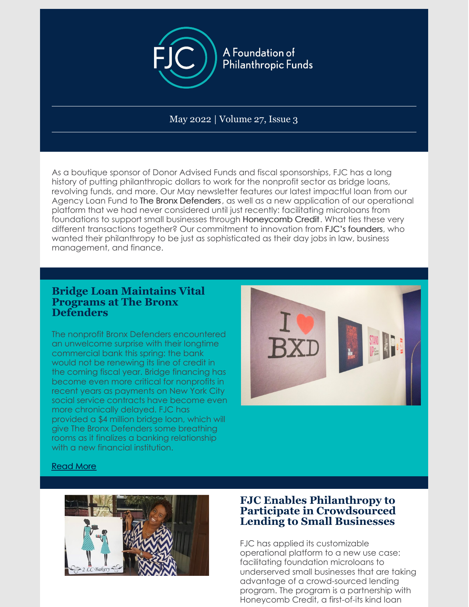

May 2022 | Volume 27, Issue 3

As a boutique sponsor of Donor Advised Funds and fiscal sponsorships, FJC has a long history of putting philanthropic dollars to work for the nonprofit sector as bridge loans, revolving funds, and more. Our May newsletter features our latest impactful loan from our Agency Loan Fund to The Bronx Defenders, as well as a new application of our operational platform that we had never considered until just recently: facilitating microloans from foundations to support small businesses through Honeycomb Credit. What ties these very different transactions together? Our commitment to innovation from FJC's founders, who wanted their philanthropy to be just as sophisticated as their day jobs in law, business management, and finance.

### **Bridge Loan Maintains Vital Programs at The Bronx Defenders**

The nonprofit Bronx Defenders encountered an unwelcome surprise with their longtime commercial bank this spring: the bank would not be renewing its line of credit in the coming fiscal year. Bridge financing has become even more critical for nonprofits in recent years as payments on New York City social service contracts have become even more chronically delayed. FJC has provided a \$4 million bridge loan, which will give The Bronx Defenders some breathing rooms as it finalizes a banking relationship with a new financial institution.



#### [Read](http://fjc.org/news/bridge-loan-maintains-vital-programs-at-the-bronx-defenders/) More



# **FJC Enables Philanthropy to Participate in Crowdsourced Lending to Small Businesses**

FJC has applied its customizable operational platform to a new use case: facilitating foundation microloans to underserved small businesses that are taking advantage of a crowd-sourced lending program. The program is a partnership with Honeycomb Credit, a first-of-its kind loan